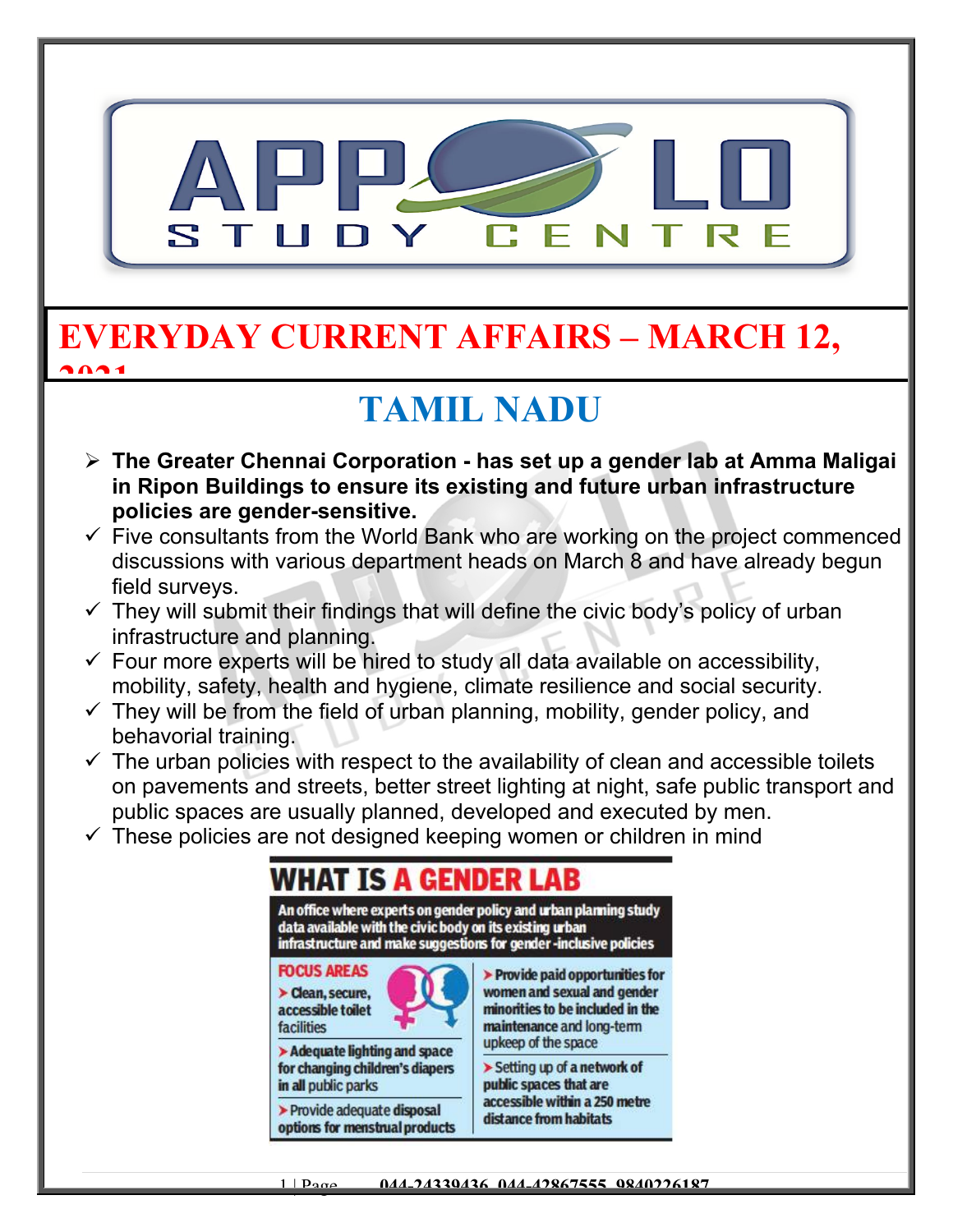

#### **EVERYDAY CURRENT AFFAIRS – MARCH 12, 2021**

# **TAMIL NADU**

- **The Greater Chennai Corporation has set up a gender lab at Amma Maligai in Ripon Buildings to ensure its existing and future urban infrastructure policies are gender-sensitive.**
- $\checkmark$  Five consultants from the World Bank who are working on the project commenced discussions with various department heads on March 8 and have already begun field surveys.
- $\checkmark$  They will submit their findings that will define the civic body's policy of urban infrastructure and planning.
- $\checkmark$  Four more experts will be hired to study all data available on accessibility, mobility, safety, health and hygiene, climate resilience and social security.
- $\checkmark$  They will be from the field of urban planning, mobility, gender policy, and behavorial training.
- $\checkmark$  The urban policies with respect to the availability of clean and accessible toilets on pavements and streets, better street lighting at night, safe public transport and public spaces are usually planned, developed and executed by men.
- $\checkmark$  These policies are not designed keeping women or children in mind

| data available with the civic body on its existing urban<br>infrastructure and make suggestions for gender-inclusive policies | An office where experts on gender policy and urban planning study                                                                                                           |
|-------------------------------------------------------------------------------------------------------------------------------|-----------------------------------------------------------------------------------------------------------------------------------------------------------------------------|
| <b>FOCUS AREAS</b><br>> Clean, secure,<br>accessible toilet<br><b>facilities</b>                                              | $\blacktriangleright$ Provide paid opportunities for<br>women and sexual and gender<br>minorities to be included in the<br>maintenance and long-term<br>upkeep of the space |
| > Adequate lighting and space<br>for changing children's diapers<br>in all public parks                                       | > Setting up of a network of<br>public spaces that are<br>accessible within a 250 metre<br>distance from habitats                                                           |
| > Provide adequate disposal<br>options for menstrual products                                                                 |                                                                                                                                                                             |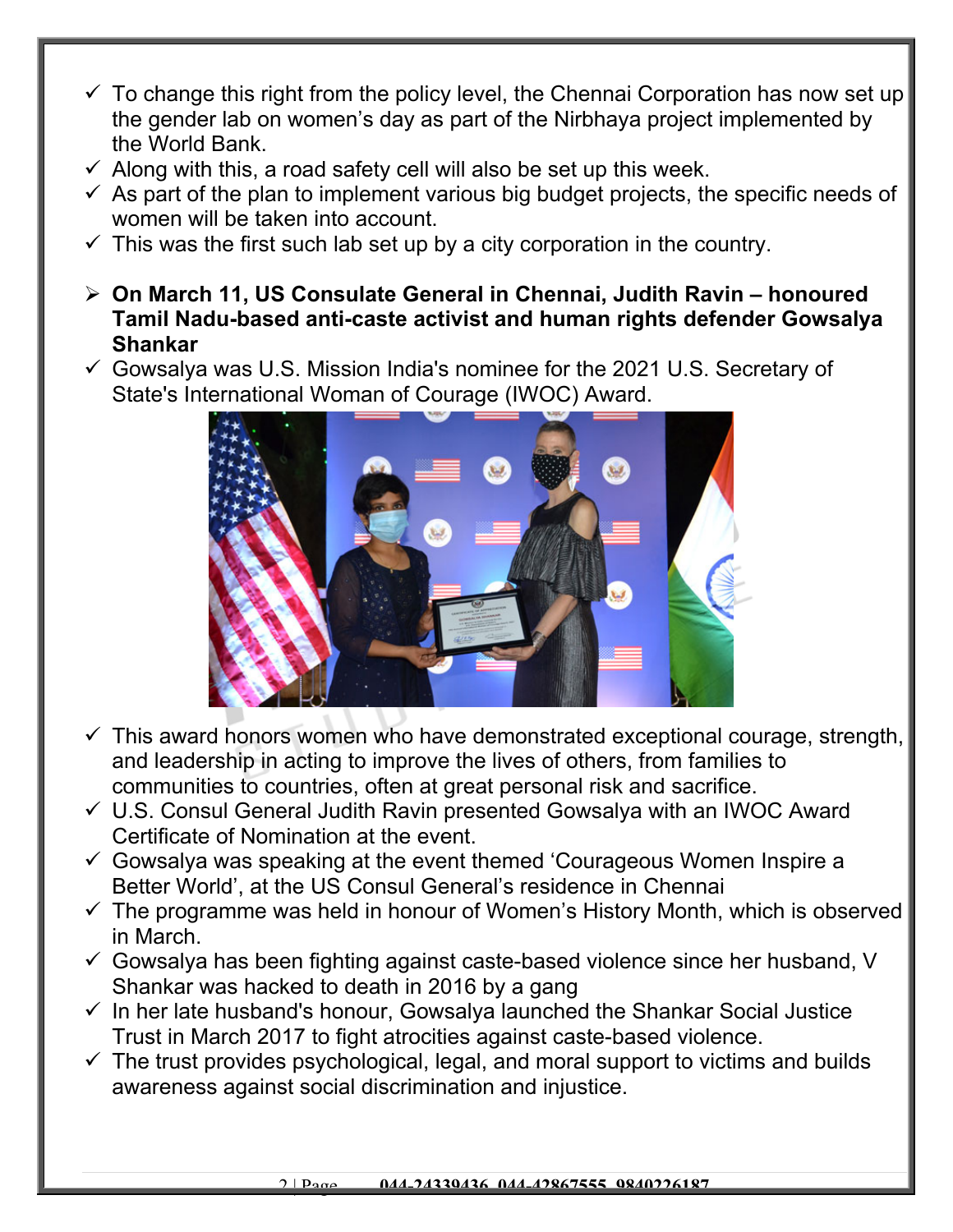- $\checkmark$  To change this right from the policy level, the Chennai Corporation has now set up the gender lab on women's day as part of the Nirbhaya project implemented by the World Bank.
- $\checkmark$  Along with this, a road safety cell will also be set up this week.
- $\checkmark$  As part of the plan to implement various big budget projects, the specific needs of women will be taken into account.
- $\checkmark$  This was the first such lab set up by a city corporation in the country.
- **On March 11, US Consulate General in Chennai, Judith Ravin honoured Tamil Nadu-based anti-caste activist and human rights defender Gowsalya Shankar**
- $\checkmark$  Gowsalya was U.S. Mission India's nominee for the 2021 U.S. Secretary of State's International Woman of Courage (IWOC) Award.



- $\checkmark$  This award honors women who have demonstrated exceptional courage, strength, and leadership in acting to improve the lives of others, from families to communities to countries, often at great personal risk and sacrifice.
- $\checkmark$  U.S. Consul General Judith Ravin presented Gowsalya with an IWOC Award Certificate of Nomination at the event.
- $\checkmark$  Gowsalya was speaking at the event themed 'Courageous Women Inspire a Better World', at the US Consul General's residence in Chennai
- $\checkmark$  The programme was held in honour of Women's History Month, which is observed in March.
- $\checkmark$  Gowsalya has been fighting against caste-based violence since her husband, V Shankar was hacked to death in 2016 by a gang
- $\checkmark$  In her late husband's honour, Gowsalya launched the Shankar Social Justice Trust in March 2017 to fight atrocities against caste-based violence.
- $\checkmark$  The trust provides psychological, legal, and moral support to victims and builds awareness against social discrimination and injustice.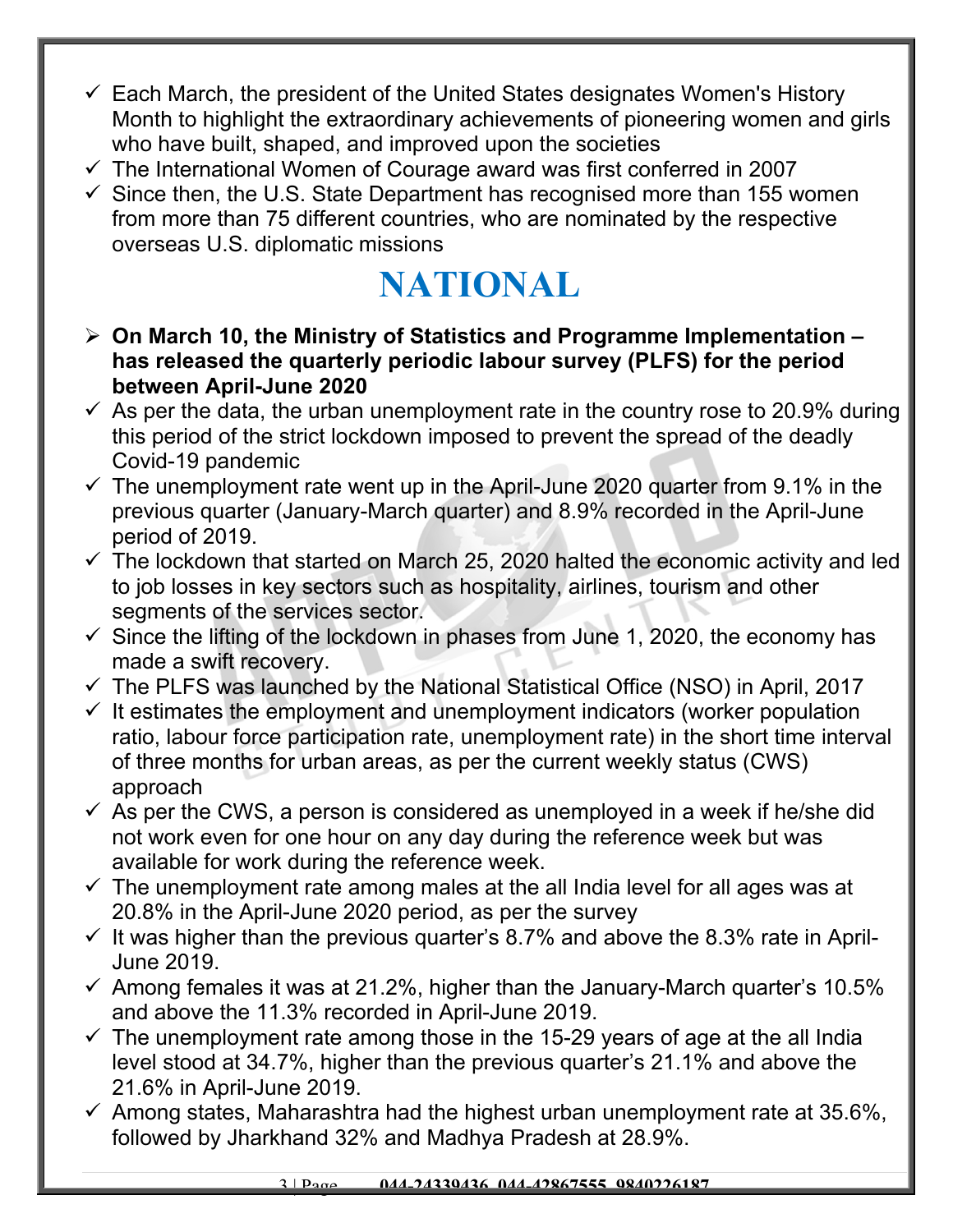- $\checkmark$  Each March, the president of the United States designates Women's History Month to highlight the extraordinary achievements of pioneering women and girls who have built, shaped, and improved upon the societies
- $\checkmark$  The International Women of Courage award was first conferred in 2007
- $\checkmark$  Since then, the U.S. State Department has recognised more than 155 women from more than 75 different countries, who are nominated by the respective overseas U.S. diplomatic missions

# **NATIONAL**

- **On March 10, the Ministry of Statistics and Programme Implementation has released the quarterly periodic labour survey (PLFS) for the period between April-June 2020**
- $\checkmark$  As per the data, the urban unemployment rate in the country rose to 20.9% during this period of the strict lockdown imposed to prevent the spread of the deadly Covid-19 pandemic
- $\checkmark$  The unemployment rate went up in the April-June 2020 quarter from 9.1% in the previous quarter (January-March quarter) and 8.9% recorded in the April-June period of 2019.
- $\checkmark$  The lockdown that started on March 25, 2020 halted the economic activity and led to job losses in key sectors such as hospitality, airlines, tourism and other segments of the services sector.
- $\checkmark$  Since the lifting of the lockdown in phases from June 1, 2020, the economy has made a swift recovery.
- $\checkmark$  The PLFS was launched by the National Statistical Office (NSO) in April, 2017
- $\checkmark$  It estimates the employment and unemployment indicators (worker population ratio, labour force participation rate, unemployment rate) in the short time interval of three months for urban areas, as per the current weekly status (CWS) approach
- $\checkmark$  As per the CWS, a person is considered as unemployed in a week if he/she did not work even for one hour on any day during the reference week but was available for work during the reference week.
- $\checkmark$  The unemployment rate among males at the all India level for all ages was at 20.8% in the April-June 2020 period, as per the survey
- $\checkmark$  It was higher than the previous quarter's 8.7% and above the 8.3% rate in April-June 2019.
- $\checkmark$  Among females it was at 21.2%, higher than the January-March quarter's 10.5% and above the 11.3% recorded in April-June 2019.
- $\checkmark$  The unemployment rate among those in the 15-29 years of age at the all India level stood at 34.7%, higher than the previous quarter's 21.1% and above the 21.6% in April-June 2019.
- $\checkmark$  Among states, Maharashtra had the highest urban unemployment rate at 35.6%, followed by Jharkhand 32% and Madhya Pradesh at 28.9%.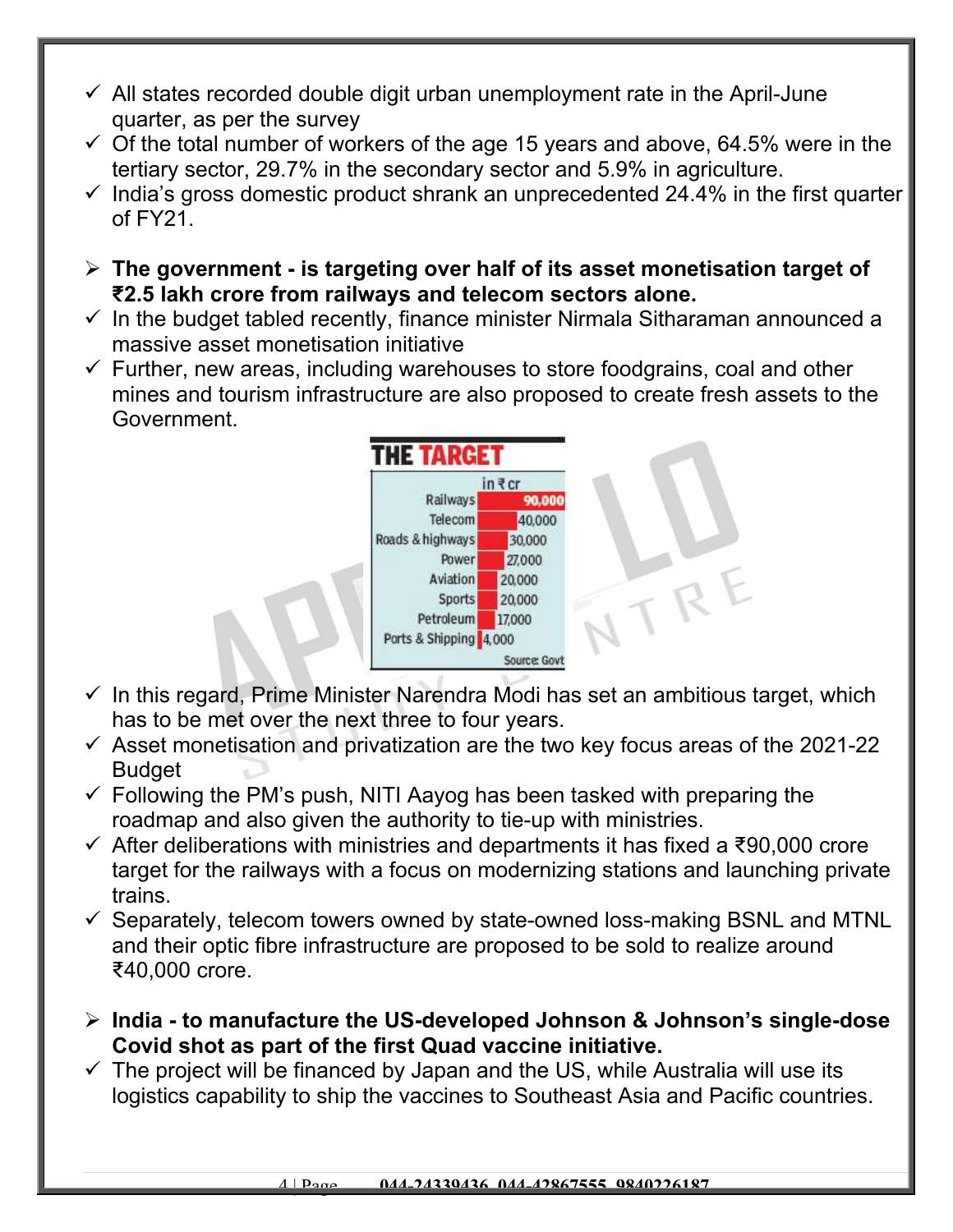- $\checkmark$  All states recorded double digit urban unemployment rate in the April-June quarter, as per the survey
- $\checkmark$  Of the total number of workers of the age 15 years and above, 64.5% were in the tertiary sector, 29.7% in the secondary sector and 5.9% in agriculture.
- $\checkmark$  India's gross domestic product shrank an unprecedented 24.4% in the first quarter of FY21.
- **The government is targeting over half of its asset monetisation target of ₹2.5 lakh crore from railways and telecom sectors alone.**
- $\checkmark$  In the budget tabled recently, finance minister Nirmala Sitharaman announced a massive asset monetisation initiative
- $\checkmark$  Further, new areas, including warehouses to store foodgrains, coal and other mines and tourism infrastructure are also proposed to create fresh assets to the Government.



- $\checkmark$  In this regard, Prime Minister Narendra Modi has set an ambitious target, which has to be met over the next three to four years.
- $\checkmark$  Asset monetisation and privatization are the two key focus areas of the 2021-22 **Budget**
- $\checkmark$  Following the PM's push, NITI Aayog has been tasked with preparing the roadmap and also given the authority to tie-up with ministries.
- $\checkmark$  After deliberations with ministries and departments it has fixed a ₹90,000 crore target for the railways with a focus on modernizing stations and launching private trains.
- $\checkmark$  Separately, telecom towers owned by state-owned loss-making BSNL and MTNL and their optic fibre infrastructure are proposed to be sold to realize around ₹40,000 crore.
- **India to manufacture the US-developed Johnson & Johnson's single-dose Covid shot as part of the first Quad vaccine initiative.**
- $\checkmark$  The project will be financed by Japan and the US, while Australia will use its logistics capability to ship the vaccines to Southeast Asia and Pacific countries.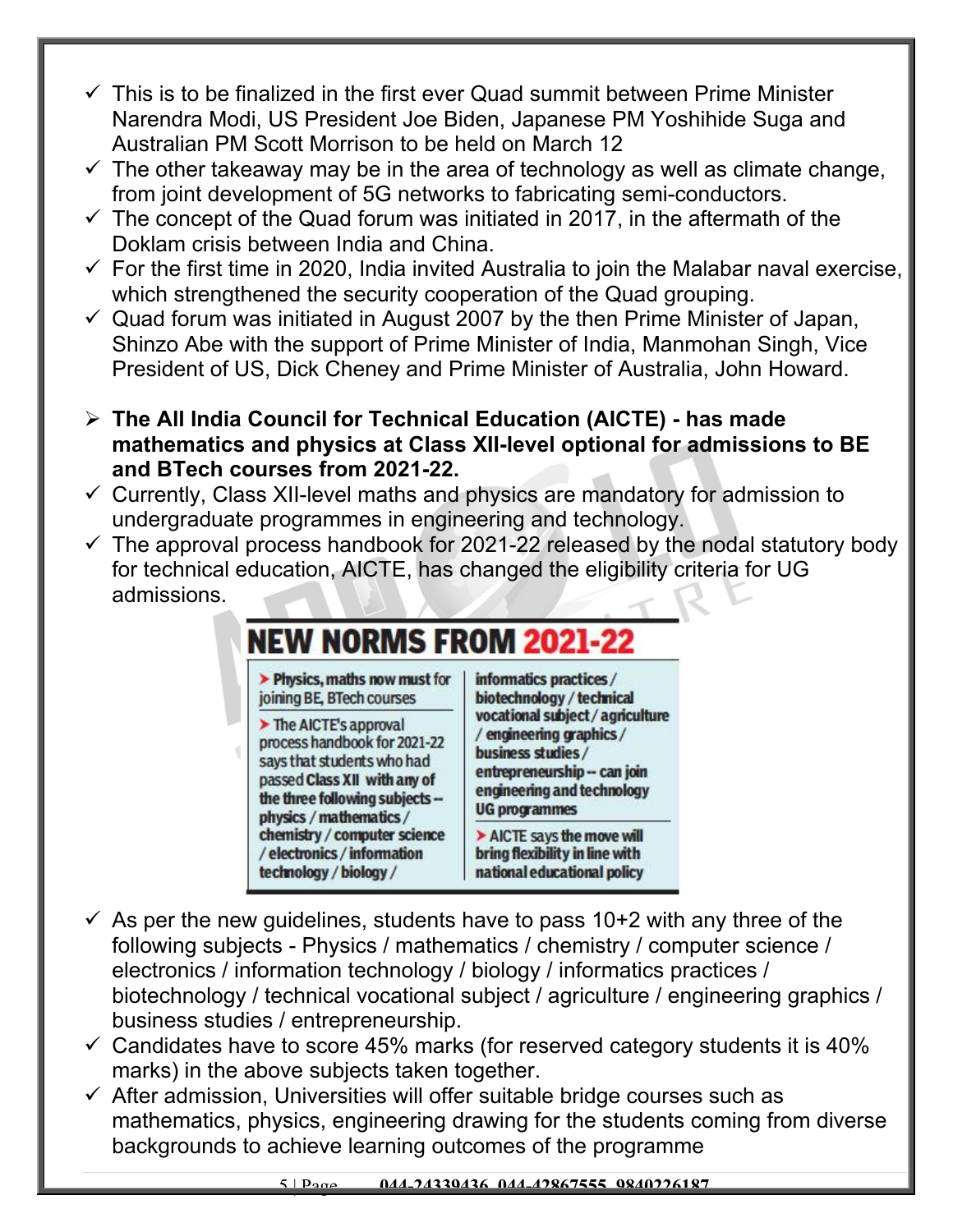- $\checkmark$  This is to be finalized in the first ever Quad summit between Prime Minister Narendra Modi, US President Joe Biden, Japanese PM Yoshihide Suga and Australian PM Scott Morrison to be held on March 12
- $\checkmark$  The other takeaway may be in the area of technology as well as climate change, from joint development of 5G networks to fabricating semi-conductors.
- $\checkmark$  The concept of the Quad forum was initiated in 2017, in the aftermath of the Doklam crisis between India and China.
- $\checkmark$  For the first time in 2020, India invited Australia to join the Malabar naval exercise, which strengthened the security cooperation of the Quad grouping.
- $\checkmark$  Quad forum was initiated in August 2007 by the then Prime Minister of Japan, Shinzo Abe with the support of Prime Minister of India, Manmohan Singh, Vice President of US, Dick Cheney and Prime Minister of Australia, John Howard.
- **The All India Council for Technical Education (AICTE) has made mathematics and physics at Class XII-level optional for admissions to BE and BTech courses from 2021-22.**
- $\checkmark$  Currently, Class XII-level maths and physics are mandatory for admission to undergraduate programmes in engineering and technology.
- $\checkmark$  The approval process handbook for 2021-22 released by the nodal statutory body for technical education, AICTE, has changed the eligibility criteria for UG admissions.

#### **NEW NORMS FROM 2021-22**

> Physics, maths now must for joining BE, BTech courses

 $\triangleright$  The AICTE's approval process handbook for 2021-22 says that students who had passed Class XII with any of the three following subjects -physics / mathematics / chemistry / computer science / electronics / information technology / biology /

informatics practices/ biotechnology / technical vocational subject / agriculture / engineering graphics/ business studies / entrepreneurship -- can join engineering and technology **UG** programmes

> AICTE says the move will bring flexibility in line with national educational policy

- $\checkmark$  As per the new quidelines, students have to pass 10+2 with any three of the following subjects - Physics / mathematics / chemistry / computer science / electronics / information technology / biology / informatics practices / biotechnology / technical vocational subject / agriculture / engineering graphics / business studies / entrepreneurship.
- $\checkmark$  Candidates have to score 45% marks (for reserved category students it is 40% marks) in the above subjects taken together.
- $\checkmark$  After admission, Universities will offer suitable bridge courses such as mathematics, physics, engineering drawing for the students coming from diverse backgrounds to achieve learning outcomes of the programme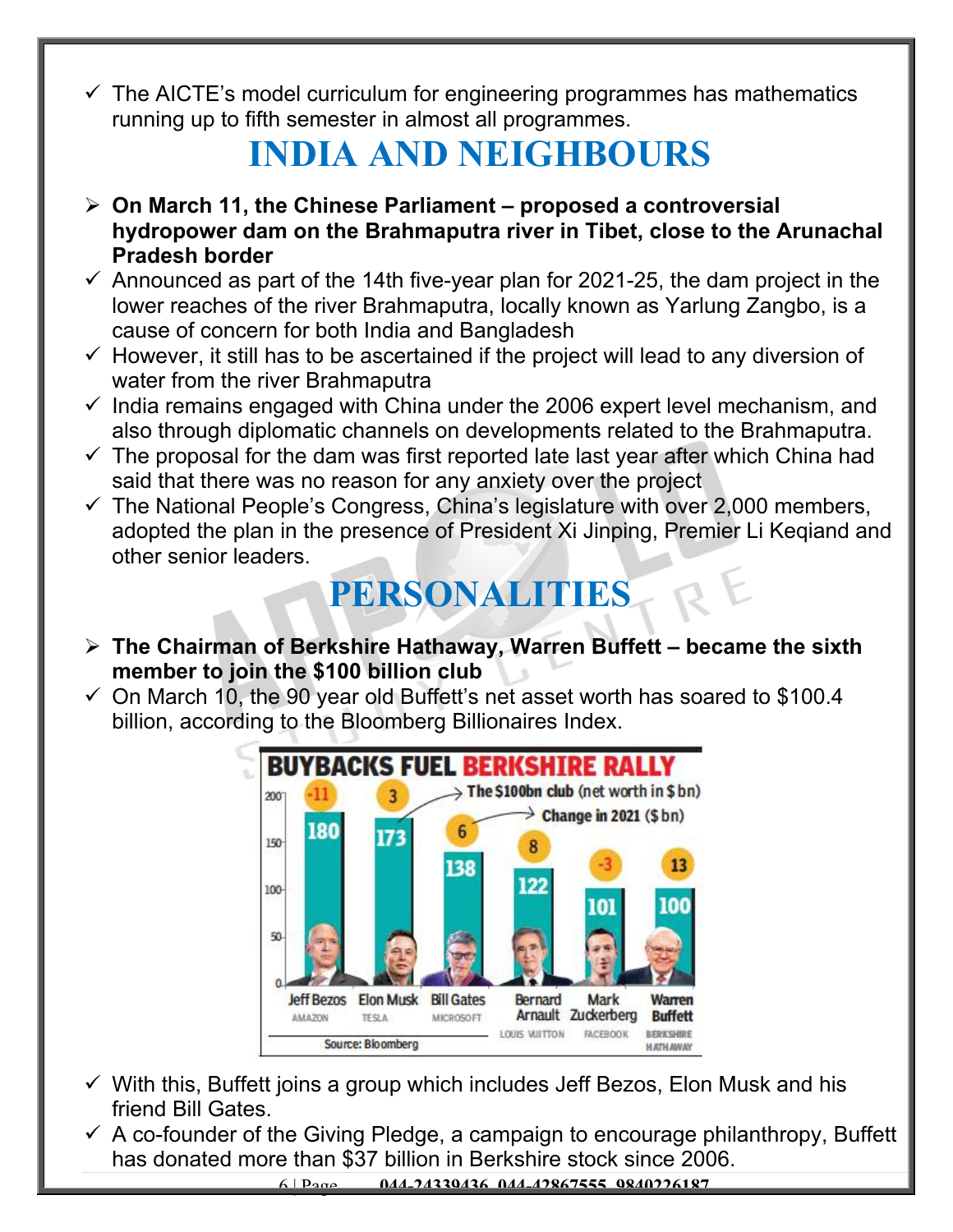$\checkmark$  The AICTE's model curriculum for engineering programmes has mathematics running up to fifth semester in almost all programmes.

### **INDIA AND NEIGHBOURS**

- **On March 11, the Chinese Parliament proposed a controversial hydropower dam on the Brahmaputra river in Tibet, close to the Arunachal Pradesh border**
- $\checkmark$  Announced as part of the 14th five-year plan for 2021-25, the dam project in the lower reaches of the river Brahmaputra, locally known as Yarlung Zangbo, is a cause of concern for both India and Bangladesh
- $\checkmark$  However, it still has to be ascertained if the project will lead to any diversion of water from the river Brahmaputra
- $\checkmark$  India remains engaged with China under the 2006 expert level mechanism, and also through diplomatic channels on developments related to the Brahmaputra.
- $\checkmark$  The proposal for the dam was first reported late last year after which China had said that there was no reason for any anxiety over the project
- $\checkmark$  The National People's Congress, China's legislature with over 2,000 members, adopted the plan in the presence of President Xi Jinping, Premier Li Keqiand and other senior leaders.

#### **PERSONALITIES**

- **The Chairman of Berkshire Hathaway, Warren Buffett became the sixth member to join the \$100 billion club**
- $\checkmark$  On March 10, the 90 year old Buffett's net asset worth has soared to \$100.4 billion, according to the Bloomberg Billionaires Index.



- $\checkmark$  With this, Buffett joins a group which includes Jeff Bezos, Elon Musk and his friend Bill Gates.
- $\checkmark$  A co-founder of the Giving Pledge, a campaign to encourage philanthropy, Buffett has donated more than \$37 billion in Berkshire stock since 2006.

6 | Page **044-24339436, 044-42867555, 9840226187**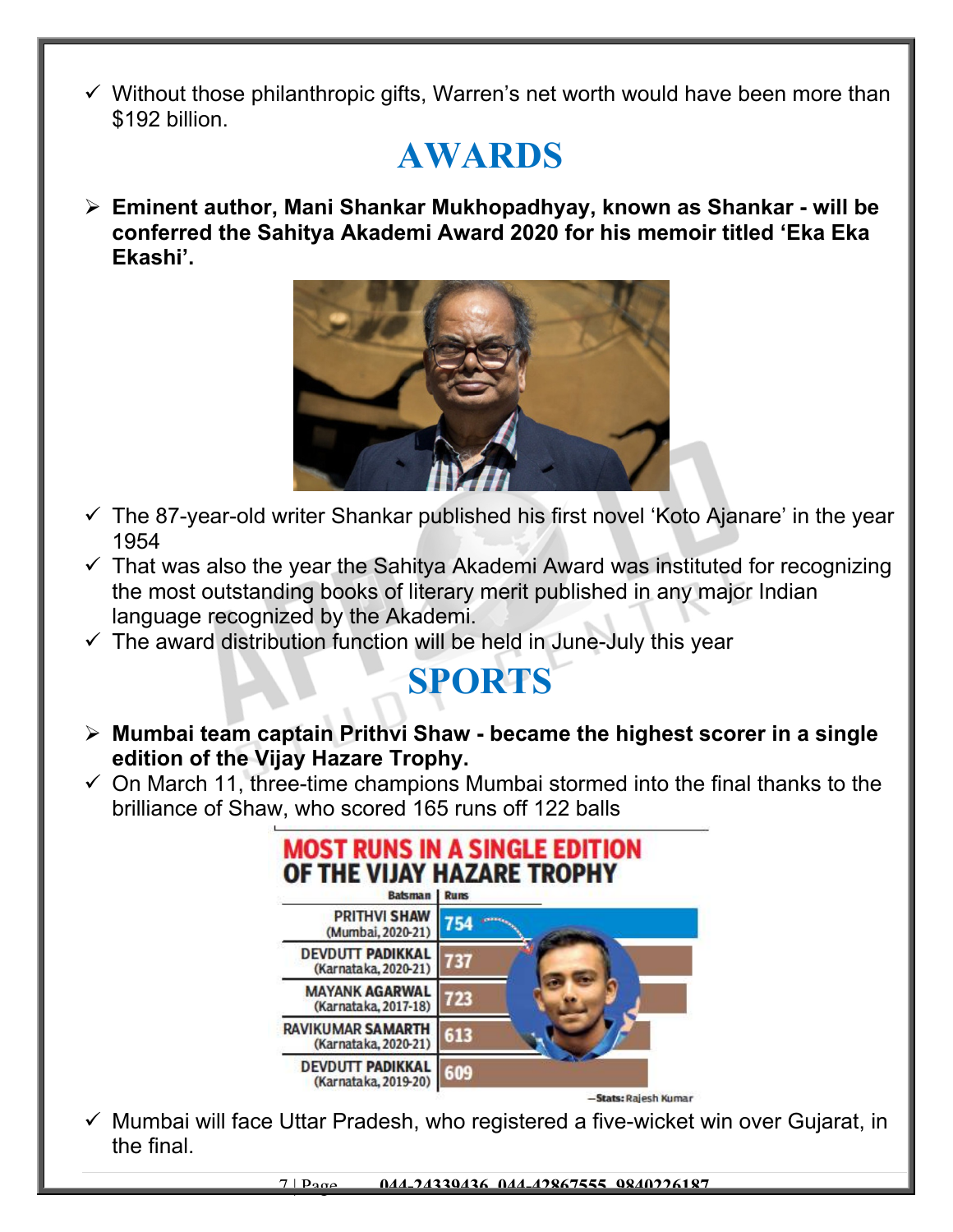$\checkmark$  Without those philanthropic gifts, Warren's net worth would have been more than \$192 billion.

## **AWARDS**

 **Eminent author, Mani Shankar Mukhopadhyay, known as Shankar - will be conferred the Sahitya Akademi Award 2020 for his memoir titled 'Eka Eka Ekashi'.**



- $\checkmark$  The 87-year-old writer Shankar published his first novel 'Koto Ajanare' in the year 1954
- $\checkmark$  That was also the year the Sahitya Akademi Award was instituted for recognizing the most outstanding books of literary merit published in any major Indian language recognized by the Akademi.
- $\checkmark$  The award distribution function will be held in June-July this year

## **SPORTS**

- **Mumbai team captain Prithvi Shaw became the highest scorer in a single edition of the Vijay Hazare Trophy.**
- $\checkmark$  On March 11, three-time champions Mumbai stormed into the final thanks to the brilliance of Shaw, who scored 165 runs off 122 balls



 $\checkmark$  Mumbai will face Uttar Pradesh, who registered a five-wicket win over Gujarat, in the final.